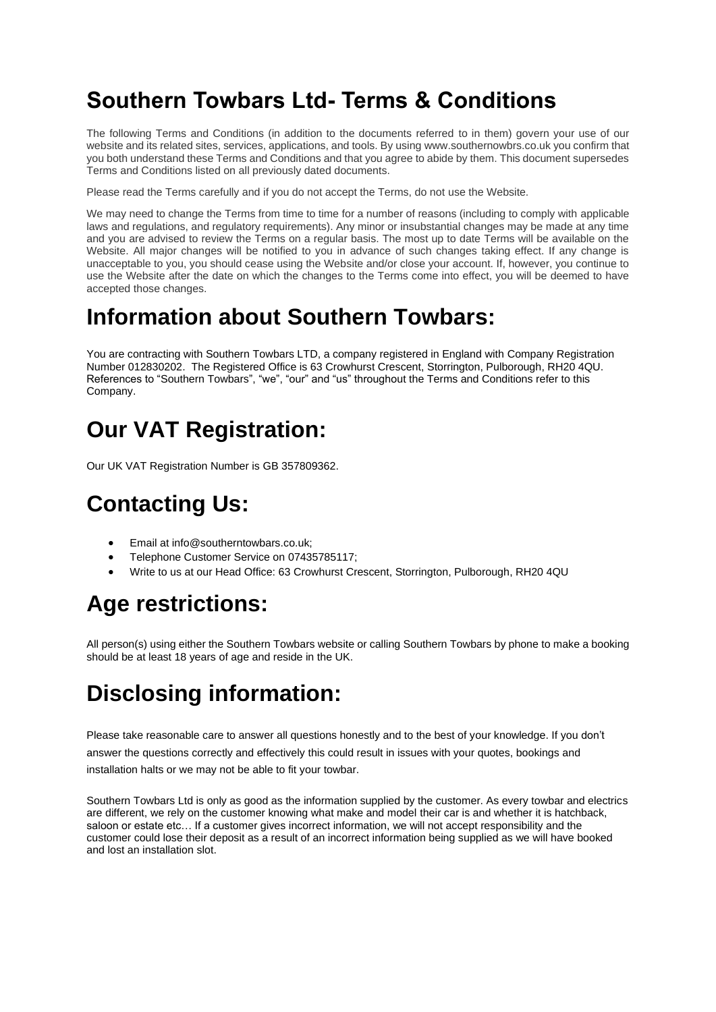## **Southern Towbars Ltd- Terms & Conditions**

The following Terms and Conditions (in addition to the documents referred to in them) govern your use of our website and its related sites, services, applications, and tools. By using www.southernowbrs.co.uk you confirm that you both understand these Terms and Conditions and that you agree to abide by them. This document supersedes Terms and Conditions listed on all previously dated documents.

Please read the Terms carefully and if you do not accept the Terms, do not use the Website.

We may need to change the Terms from time to time for a number of reasons (including to comply with applicable laws and regulations, and regulatory requirements). Any minor or insubstantial changes may be made at any time and you are advised to review the Terms on a regular basis. The most up to date Terms will be available on the Website. All major changes will be notified to you in advance of such changes taking effect. If any change is unacceptable to you, you should cease using the Website and/or close your account. If, however, you continue to use the Website after the date on which the changes to the Terms come into effect, you will be deemed to have accepted those changes.

#### **Information about Southern Towbars:**

You are contracting with Southern Towbars LTD, a company registered in England with Company Registration Number 012830202. The Registered Office is 63 Crowhurst Crescent, Storrington, Pulborough, RH20 4QU. References to "Southern Towbars", "we", "our" and "us" throughout the Terms and Conditions refer to this Company.

## **Our VAT Registration:**

Our UK VAT Registration Number is GB 357809362.

# **Contacting Us:**

- Email at info@southerntowbars.co.uk;
- Telephone Customer Service on 07435785117;
- Write to us at our Head Office: 63 Crowhurst Crescent, Storrington, Pulborough, RH20 4QU

# **Age restrictions:**

All person(s) using either the Southern Towbars website or calling Southern Towbars by phone to make a booking should be at least 18 years of age and reside in the UK.

# **Disclosing information:**

Please take reasonable care to answer all questions honestly and to the best of your knowledge. If you don't answer the questions correctly and effectively this could result in issues with your quotes, bookings and installation halts or we may not be able to fit your towbar.

Southern Towbars Ltd is only as good as the information supplied by the customer. As every towbar and electrics are different, we rely on the customer knowing what make and model their car is and whether it is hatchback, saloon or estate etc… If a customer gives incorrect information, we will not accept responsibility and the customer could lose their deposit as a result of an incorrect information being supplied as we will have booked and lost an installation slot.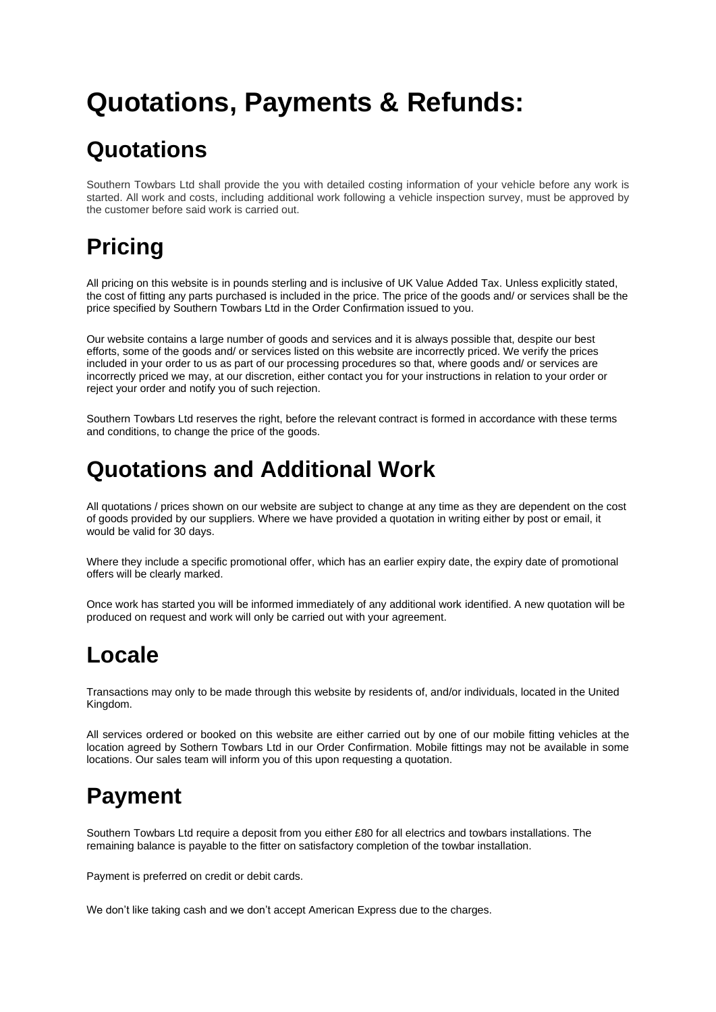# **Quotations, Payments & Refunds:**

## **Quotations**

Southern Towbars Ltd shall provide the you with detailed costing information of your vehicle before any work is started. All work and costs, including additional work following a vehicle inspection survey, must be approved by the customer before said work is carried out.

# **Pricing**

All pricing on this website is in pounds sterling and is inclusive of UK Value Added Tax. Unless explicitly stated, the cost of fitting any parts purchased is included in the price. The price of the goods and/ or services shall be the price specified by Southern Towbars Ltd in the Order Confirmation issued to you.

Our website contains a large number of goods and services and it is always possible that, despite our best efforts, some of the goods and/ or services listed on this website are incorrectly priced. We verify the prices included in your order to us as part of our processing procedures so that, where goods and/ or services are incorrectly priced we may, at our discretion, either contact you for your instructions in relation to your order or reject your order and notify you of such rejection.

Southern Towbars Ltd reserves the right, before the relevant contract is formed in accordance with these terms and conditions, to change the price of the goods.

#### **Quotations and Additional Work**

All quotations / prices shown on our website are subject to change at any time as they are dependent on the cost of goods provided by our suppliers. Where we have provided a quotation in writing either by post or email, it would be valid for 30 days.

Where they include a specific promotional offer, which has an earlier expiry date, the expiry date of promotional offers will be clearly marked.

Once work has started you will be informed immediately of any additional work identified. A new quotation will be produced on request and work will only be carried out with your agreement.

# **Locale**

Transactions may only to be made through this website by residents of, and/or individuals, located in the United Kingdom.

All services ordered or booked on this website are either carried out by one of our mobile fitting vehicles at the location agreed by Sothern Towbars Ltd in our Order Confirmation. Mobile fittings may not be available in some locations. Our sales team will inform you of this upon requesting a quotation.

# **Payment**

Southern Towbars Ltd require a deposit from you either £80 for all electrics and towbars installations. The remaining balance is payable to the fitter on satisfactory completion of the towbar installation.

Payment is preferred on credit or debit cards.

We don't like taking cash and we don't accept American Express due to the charges.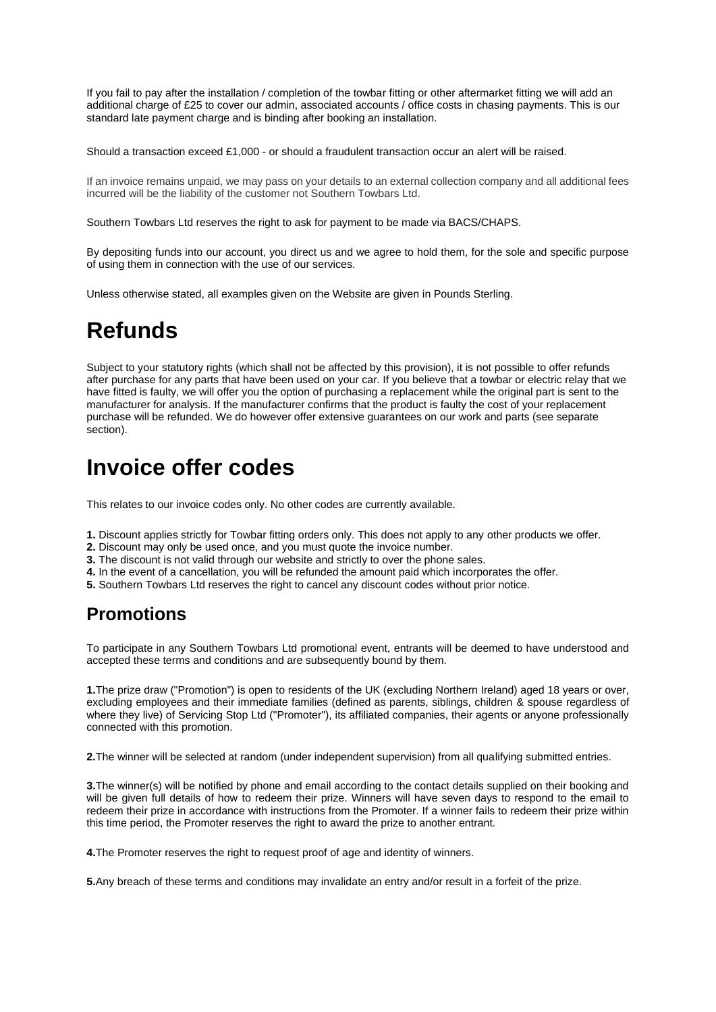If you fail to pay after the installation / completion of the towbar fitting or other aftermarket fitting we will add an additional charge of £25 to cover our admin, associated accounts / office costs in chasing payments. This is our standard late payment charge and is binding after booking an installation.

Should a transaction exceed £1,000 - or should a fraudulent transaction occur an alert will be raised.

If an invoice remains unpaid, we may pass on your details to an external collection company and all additional fees incurred will be the liability of the customer not Southern Towbars Ltd.

Southern Towbars Ltd reserves the right to ask for payment to be made via BACS/CHAPS.

By depositing funds into our account, you direct us and we agree to hold them, for the sole and specific purpose of using them in connection with the use of our services.

Unless otherwise stated, all examples given on the Website are given in Pounds Sterling.

#### **Refunds**

Subject to your statutory rights (which shall not be affected by this provision), it is not possible to offer refunds after purchase for any parts that have been used on your car. If you believe that a towbar or electric relay that we have fitted is faulty, we will offer you the option of purchasing a replacement while the original part is sent to the manufacturer for analysis. If the manufacturer confirms that the product is faulty the cost of your replacement purchase will be refunded. We do however offer extensive guarantees on our work and parts (see separate section).

#### **Invoice offer codes**

This relates to our invoice codes only. No other codes are currently available.

- **1.** Discount applies strictly for Towbar fitting orders only. This does not apply to any other products we offer.
- **2.** Discount may only be used once, and you must quote the invoice number.
- **3.** The discount is not valid through our website and strictly to over the phone sales.
- **4.** In the event of a cancellation, you will be refunded the amount paid which incorporates the offer.
- **5.** Southern Towbars Ltd reserves the right to cancel any discount codes without prior notice.

#### **Promotions**

To participate in any Southern Towbars Ltd promotional event, entrants will be deemed to have understood and accepted these terms and conditions and are subsequently bound by them.

**1.**The prize draw ("Promotion") is open to residents of the UK (excluding Northern Ireland) aged 18 years or over, excluding employees and their immediate families (defined as parents, siblings, children & spouse regardless of where they live) of Servicing Stop Ltd ("Promoter"), its affiliated companies, their agents or anyone professionally connected with this promotion.

**2.**The winner will be selected at random (under independent supervision) from all qualifying submitted entries.

**3.**The winner(s) will be notified by phone and email according to the contact details supplied on their booking and will be given full details of how to redeem their prize. Winners will have seven days to respond to the email to redeem their prize in accordance with instructions from the Promoter. If a winner fails to redeem their prize within this time period, the Promoter reserves the right to award the prize to another entrant.

**4.**The Promoter reserves the right to request proof of age and identity of winners.

**5.**Any breach of these terms and conditions may invalidate an entry and/or result in a forfeit of the prize.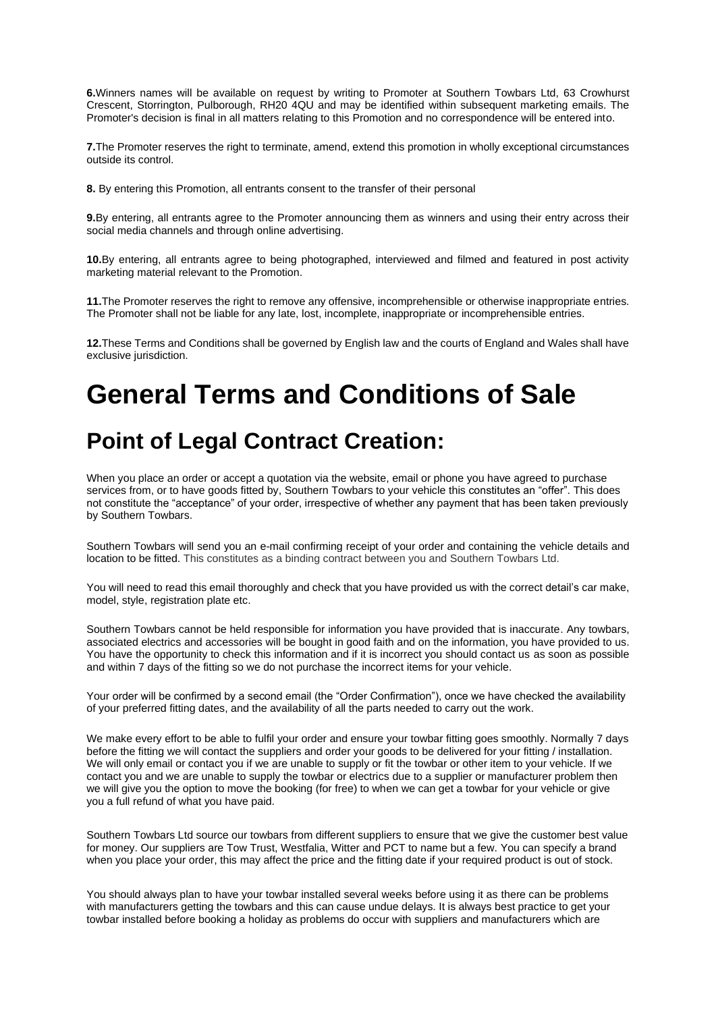**6.**Winners names will be available on request by writing to Promoter at Southern Towbars Ltd, 63 Crowhurst Crescent, Storrington, Pulborough, RH20 4QU and may be identified within subsequent marketing emails. The Promoter's decision is final in all matters relating to this Promotion and no correspondence will be entered into.

**7.**The Promoter reserves the right to terminate, amend, extend this promotion in wholly exceptional circumstances outside its control.

**8.** By entering this Promotion, all entrants consent to the transfer of their personal

**9.**By entering, all entrants agree to the Promoter announcing them as winners and using their entry across their social media channels and through online advertising.

**10.**By entering, all entrants agree to being photographed, interviewed and filmed and featured in post activity marketing material relevant to the Promotion.

**11.**The Promoter reserves the right to remove any offensive, incomprehensible or otherwise inappropriate entries. The Promoter shall not be liable for any late, lost, incomplete, inappropriate or incomprehensible entries.

**12.**These Terms and Conditions shall be governed by English law and the courts of England and Wales shall have exclusive jurisdiction.

# **General Terms and Conditions of Sale**

#### **Point of Legal Contract Creation:**

When you place an order or accept a quotation via the website, email or phone you have agreed to purchase services from, or to have goods fitted by, Southern Towbars to your vehicle this constitutes an "offer". This does not constitute the "acceptance" of your order, irrespective of whether any payment that has been taken previously by Southern Towbars.

Southern Towbars will send you an e-mail confirming receipt of your order and containing the vehicle details and location to be fitted. This constitutes as a binding contract between you and Southern Towbars Ltd.

You will need to read this email thoroughly and check that you have provided us with the correct detail's car make, model, style, registration plate etc.

Southern Towbars cannot be held responsible for information you have provided that is inaccurate. Any towbars, associated electrics and accessories will be bought in good faith and on the information, you have provided to us. You have the opportunity to check this information and if it is incorrect you should contact us as soon as possible and within 7 days of the fitting so we do not purchase the incorrect items for your vehicle.

Your order will be confirmed by a second email (the "Order Confirmation"), once we have checked the availability of your preferred fitting dates, and the availability of all the parts needed to carry out the work.

We make every effort to be able to fulfil your order and ensure your towbar fitting goes smoothly. Normally 7 days before the fitting we will contact the suppliers and order your goods to be delivered for your fitting / installation. We will only email or contact you if we are unable to supply or fit the towbar or other item to your vehicle. If we contact you and we are unable to supply the towbar or electrics due to a supplier or manufacturer problem then we will give you the option to move the booking (for free) to when we can get a towbar for your vehicle or give you a full refund of what you have paid.

Southern Towbars Ltd source our towbars from different suppliers to ensure that we give the customer best value for money. Our suppliers are Tow Trust, Westfalia, Witter and PCT to name but a few. You can specify a brand when you place your order, this may affect the price and the fitting date if your required product is out of stock.

You should always plan to have your towbar installed several weeks before using it as there can be problems with manufacturers getting the towbars and this can cause undue delays. It is always best practice to get your towbar installed before booking a holiday as problems do occur with suppliers and manufacturers which are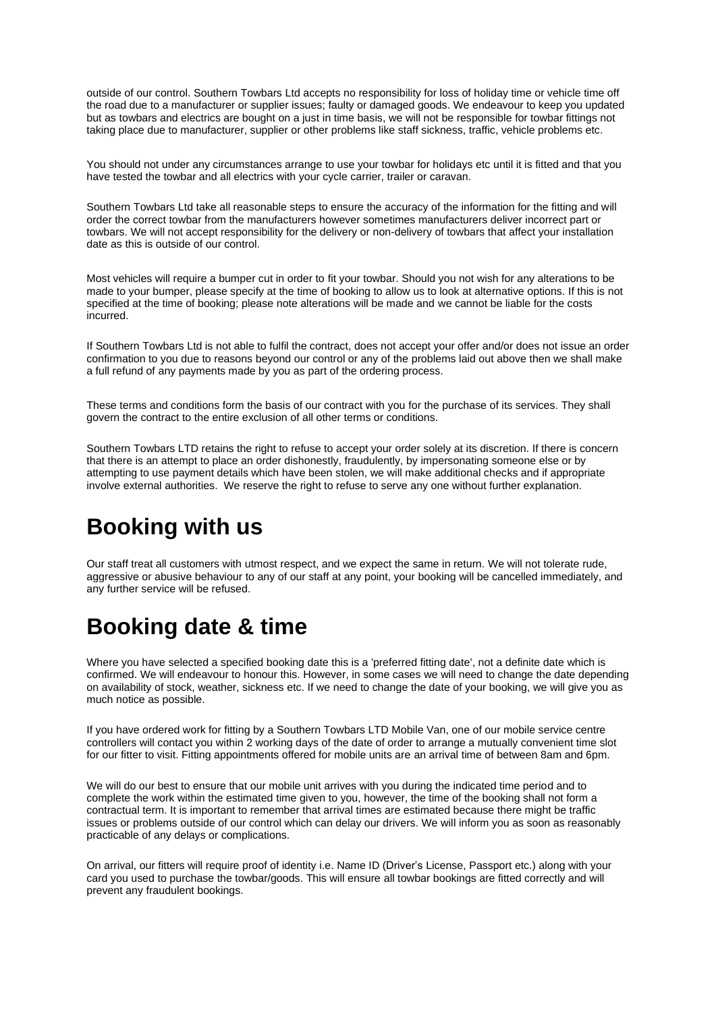outside of our control. Southern Towbars Ltd accepts no responsibility for loss of holiday time or vehicle time off the road due to a manufacturer or supplier issues; faulty or damaged goods. We endeavour to keep you updated but as towbars and electrics are bought on a just in time basis, we will not be responsible for towbar fittings not taking place due to manufacturer, supplier or other problems like staff sickness, traffic, vehicle problems etc.

You should not under any circumstances arrange to use your towbar for holidays etc until it is fitted and that you have tested the towbar and all electrics with your cycle carrier, trailer or caravan.

Southern Towbars Ltd take all reasonable steps to ensure the accuracy of the information for the fitting and will order the correct towbar from the manufacturers however sometimes manufacturers deliver incorrect part or towbars. We will not accept responsibility for the delivery or non-delivery of towbars that affect your installation date as this is outside of our control.

Most vehicles will require a bumper cut in order to fit your towbar. Should you not wish for any alterations to be made to your bumper, please specify at the time of booking to allow us to look at alternative options. If this is not specified at the time of booking; please note alterations will be made and we cannot be liable for the costs incurred.

If Southern Towbars Ltd is not able to fulfil the contract, does not accept your offer and/or does not issue an order confirmation to you due to reasons beyond our control or any of the problems laid out above then we shall make a full refund of any payments made by you as part of the ordering process.

These terms and conditions form the basis of our contract with you for the purchase of its services. They shall govern the contract to the entire exclusion of all other terms or conditions.

Southern Towbars LTD retains the right to refuse to accept your order solely at its discretion. If there is concern that there is an attempt to place an order dishonestly, fraudulently, by impersonating someone else or by attempting to use payment details which have been stolen, we will make additional checks and if appropriate involve external authorities. We reserve the right to refuse to serve any one without further explanation.

#### **Booking with us**

Our staff treat all customers with utmost respect, and we expect the same in return. We will not tolerate rude, aggressive or abusive behaviour to any of our staff at any point, your booking will be cancelled immediately, and any further service will be refused.

# **Booking date & time**

Where you have selected a specified booking date this is a 'preferred fitting date', not a definite date which is confirmed. We will endeavour to honour this. However, in some cases we will need to change the date depending on availability of stock, weather, sickness etc. If we need to change the date of your booking, we will give you as much notice as possible.

If you have ordered work for fitting by a Southern Towbars LTD Mobile Van, one of our mobile service centre controllers will contact you within 2 working days of the date of order to arrange a mutually convenient time slot for our fitter to visit. Fitting appointments offered for mobile units are an arrival time of between 8am and 6pm.

We will do our best to ensure that our mobile unit arrives with you during the indicated time period and to complete the work within the estimated time given to you, however, the time of the booking shall not form a contractual term. It is important to remember that arrival times are estimated because there might be traffic issues or problems outside of our control which can delay our drivers. We will inform you as soon as reasonably practicable of any delays or complications.

On arrival, our fitters will require proof of identity i.e. Name ID (Driver's License, Passport etc.) along with your card you used to purchase the towbar/goods. This will ensure all towbar bookings are fitted correctly and will prevent any fraudulent bookings.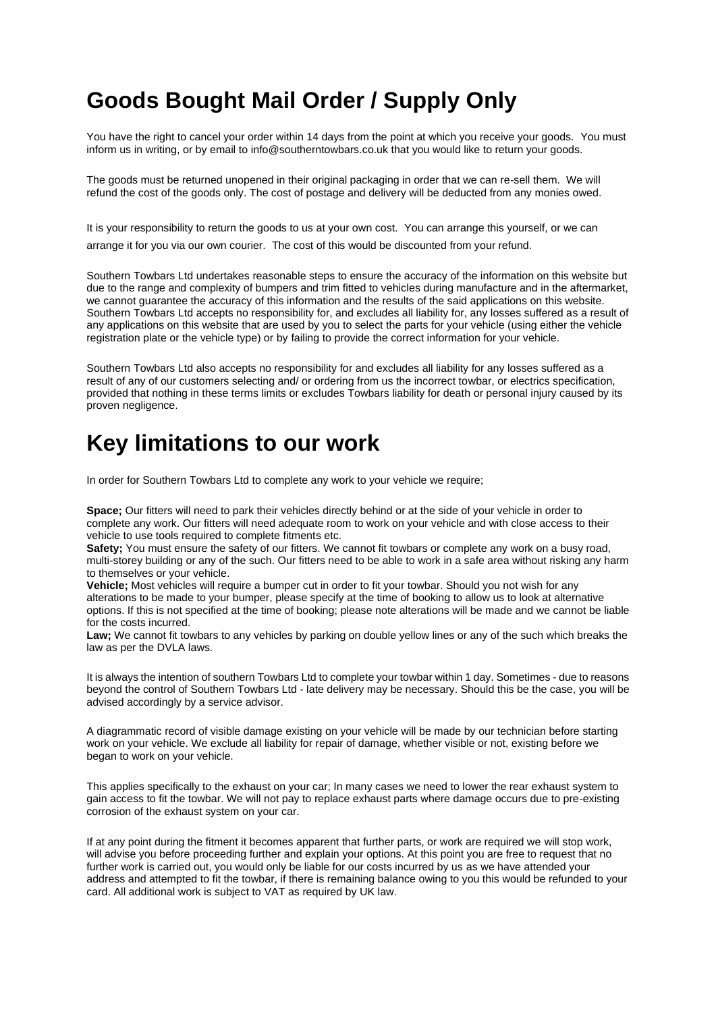#### **Goods Bought Mail Order / Supply Only**

You have the right to cancel your order within 14 days from the point at which you receive your goods. You must inform us in writing, or by email to info@southerntowbars.co.uk that you would like to return your goods.

The goods must be returned unopened in their original packaging in order that we can re-sell them. We will refund the cost of the goods only. The cost of postage and delivery will be deducted from any monies owed.

It is your responsibility to return the goods to us at your own cost. You can arrange this yourself, or we can arrange it for you via our own courier. The cost of this would be discounted from your refund.

Southern Towbars Ltd undertakes reasonable steps to ensure the accuracy of the information on this website but due to the range and complexity of bumpers and trim fitted to vehicles during manufacture and in the aftermarket, we cannot guarantee the accuracy of this information and the results of the said applications on this website. Southern Towbars Ltd accepts no responsibility for, and excludes all liability for, any losses suffered as a result of any applications on this website that are used by you to select the parts for your vehicle (using either the vehicle registration plate or the vehicle type) or by failing to provide the correct information for your vehicle.

Southern Towbars Ltd also accepts no responsibility for and excludes all liability for any losses suffered as a result of any of our customers selecting and/ or ordering from us the incorrect towbar, or electrics specification, provided that nothing in these terms limits or excludes Towbars liability for death or personal injury caused by its proven negligence.

#### **Key limitations to our work**

In order for Southern Towbars Ltd to complete any work to your vehicle we require;

**Space;** Our fitters will need to park their vehicles directly behind or at the side of your vehicle in order to complete any work. Our fitters will need adequate room to work on your vehicle and with close access to their vehicle to use tools required to complete fitments etc.

**Safety;** You must ensure the safety of our fitters. We cannot fit towbars or complete any work on a busy road, multi-storey building or any of the such. Our fitters need to be able to work in a safe area without risking any harm to themselves or your vehicle.

**Vehicle;** Most vehicles will require a bumper cut in order to fit your towbar. Should you not wish for any alterations to be made to your bumper, please specify at the time of booking to allow us to look at alternative options. If this is not specified at the time of booking; please note alterations will be made and we cannot be liable for the costs incurred.

**Law;** We cannot fit towbars to any vehicles by parking on double yellow lines or any of the such which breaks the law as per the DVLA laws.

It is always the intention of southern Towbars Ltd to complete your towbar within 1 day. Sometimes - due to reasons beyond the control of Southern Towbars Ltd - late delivery may be necessary. Should this be the case, you will be advised accordingly by a service advisor.

A diagrammatic record of visible damage existing on your vehicle will be made by our technician before starting work on your vehicle. We exclude all liability for repair of damage, whether visible or not, existing before we began to work on your vehicle.

This applies specifically to the exhaust on your car; In many cases we need to lower the rear exhaust system to gain access to fit the towbar. We will not pay to replace exhaust parts where damage occurs due to pre-existing corrosion of the exhaust system on your car.

If at any point during the fitment it becomes apparent that further parts, or work are required we will stop work, will advise you before proceeding further and explain your options. At this point you are free to request that no further work is carried out, you would only be liable for our costs incurred by us as we have attended your address and attempted to fit the towbar, if there is remaining balance owing to you this would be refunded to your card. All additional work is subject to VAT as required by UK law.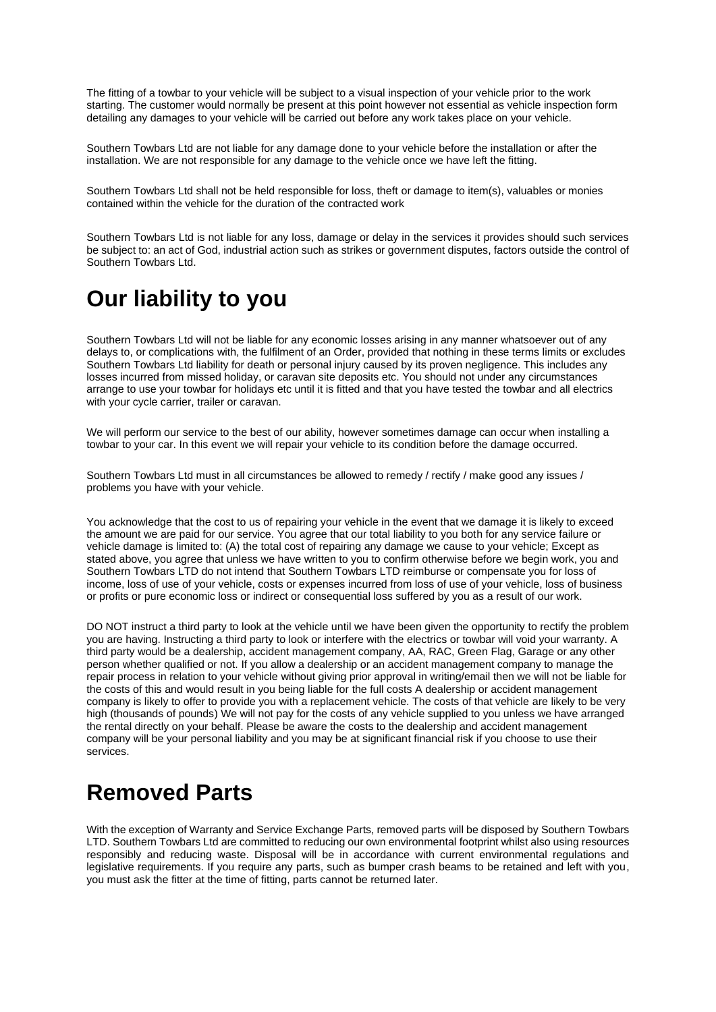The fitting of a towbar to your vehicle will be subject to a visual inspection of your vehicle prior to the work starting. The customer would normally be present at this point however not essential as vehicle inspection form detailing any damages to your vehicle will be carried out before any work takes place on your vehicle.

Southern Towbars Ltd are not liable for any damage done to your vehicle before the installation or after the installation. We are not responsible for any damage to the vehicle once we have left the fitting.

Southern Towbars Ltd shall not be held responsible for loss, theft or damage to item(s), valuables or monies contained within the vehicle for the duration of the contracted work

Southern Towbars Ltd is not liable for any loss, damage or delay in the services it provides should such services be subject to: an act of God, industrial action such as strikes or government disputes, factors outside the control of Southern Towbars Ltd.

## **Our liability to you**

Southern Towbars Ltd will not be liable for any economic losses arising in any manner whatsoever out of any delays to, or complications with, the fulfilment of an Order, provided that nothing in these terms limits or excludes Southern Towbars Ltd liability for death or personal injury caused by its proven negligence. This includes any losses incurred from missed holiday, or caravan site deposits etc. You should not under any circumstances arrange to use your towbar for holidays etc until it is fitted and that you have tested the towbar and all electrics with your cycle carrier, trailer or caravan.

We will perform our service to the best of our ability, however sometimes damage can occur when installing a towbar to your car. In this event we will repair your vehicle to its condition before the damage occurred.

Southern Towbars Ltd must in all circumstances be allowed to remedy / rectify / make good any issues / problems you have with your vehicle.

You acknowledge that the cost to us of repairing your vehicle in the event that we damage it is likely to exceed the amount we are paid for our service. You agree that our total liability to you both for any service failure or vehicle damage is limited to: (A) the total cost of repairing any damage we cause to your vehicle; Except as stated above, you agree that unless we have written to you to confirm otherwise before we begin work, you and Southern Towbars LTD do not intend that Southern Towbars LTD reimburse or compensate you for loss of income, loss of use of your vehicle, costs or expenses incurred from loss of use of your vehicle, loss of business or profits or pure economic loss or indirect or consequential loss suffered by you as a result of our work.

DO NOT instruct a third party to look at the vehicle until we have been given the opportunity to rectify the problem you are having. Instructing a third party to look or interfere with the electrics or towbar will void your warranty. A third party would be a dealership, accident management company, AA, RAC, Green Flag, Garage or any other person whether qualified or not. If you allow a dealership or an accident management company to manage the repair process in relation to your vehicle without giving prior approval in writing/email then we will not be liable for the costs of this and would result in you being liable for the full costs A dealership or accident management company is likely to offer to provide you with a replacement vehicle. The costs of that vehicle are likely to be very high (thousands of pounds) We will not pay for the costs of any vehicle supplied to you unless we have arranged the rental directly on your behalf. Please be aware the costs to the dealership and accident management company will be your personal liability and you may be at significant financial risk if you choose to use their services.

#### **Removed Parts**

With the exception of Warranty and Service Exchange Parts, removed parts will be disposed by Southern Towbars LTD. Southern Towbars Ltd are committed to reducing our own environmental footprint whilst also using resources responsibly and reducing waste. Disposal will be in accordance with current environmental regulations and legislative requirements. If you require any parts, such as bumper crash beams to be retained and left with you, you must ask the fitter at the time of fitting, parts cannot be returned later.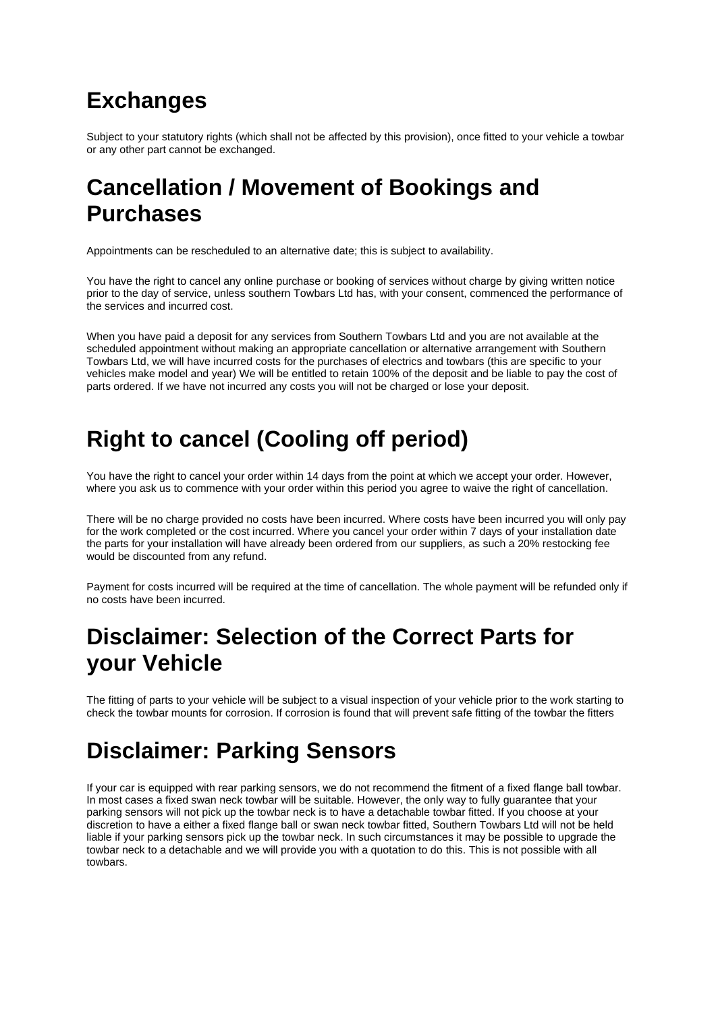## **Exchanges**

Subject to your statutory rights (which shall not be affected by this provision), once fitted to your vehicle a towbar or any other part cannot be exchanged.

#### **Cancellation / Movement of Bookings and Purchases**

Appointments can be rescheduled to an alternative date; this is subject to availability.

You have the right to cancel any online purchase or booking of services without charge by giving written notice prior to the day of service, unless southern Towbars Ltd has, with your consent, commenced the performance of the services and incurred cost.

When you have paid a deposit for any services from Southern Towbars Ltd and you are not available at the scheduled appointment without making an appropriate cancellation or alternative arrangement with Southern Towbars Ltd, we will have incurred costs for the purchases of electrics and towbars (this are specific to your vehicles make model and year) We will be entitled to retain 100% of the deposit and be liable to pay the cost of parts ordered. If we have not incurred any costs you will not be charged or lose your deposit.

# **Right to cancel (Cooling off period)**

You have the right to cancel your order within 14 days from the point at which we accept your order. However, where you ask us to commence with your order within this period you agree to waive the right of cancellation.

There will be no charge provided no costs have been incurred. Where costs have been incurred you will only pay for the work completed or the cost incurred. Where you cancel your order within 7 days of your installation date the parts for your installation will have already been ordered from our suppliers, as such a 20% restocking fee would be discounted from any refund.

Payment for costs incurred will be required at the time of cancellation. The whole payment will be refunded only if no costs have been incurred.

#### **Disclaimer: Selection of the Correct Parts for your Vehicle**

The fitting of parts to your vehicle will be subject to a visual inspection of your vehicle prior to the work starting to check the towbar mounts for corrosion. If corrosion is found that will prevent safe fitting of the towbar the fitters

# **Disclaimer: Parking Sensors**

If your car is equipped with rear parking sensors, we do not recommend the fitment of a fixed flange ball towbar. In most cases a fixed swan neck towbar will be suitable. However, the only way to fully guarantee that your parking sensors will not pick up the towbar neck is to have a detachable towbar fitted. If you choose at your discretion to have a either a fixed flange ball or swan neck towbar fitted, Southern Towbars Ltd will not be held liable if your parking sensors pick up the towbar neck. In such circumstances it may be possible to upgrade the towbar neck to a detachable and we will provide you with a quotation to do this. This is not possible with all towbars.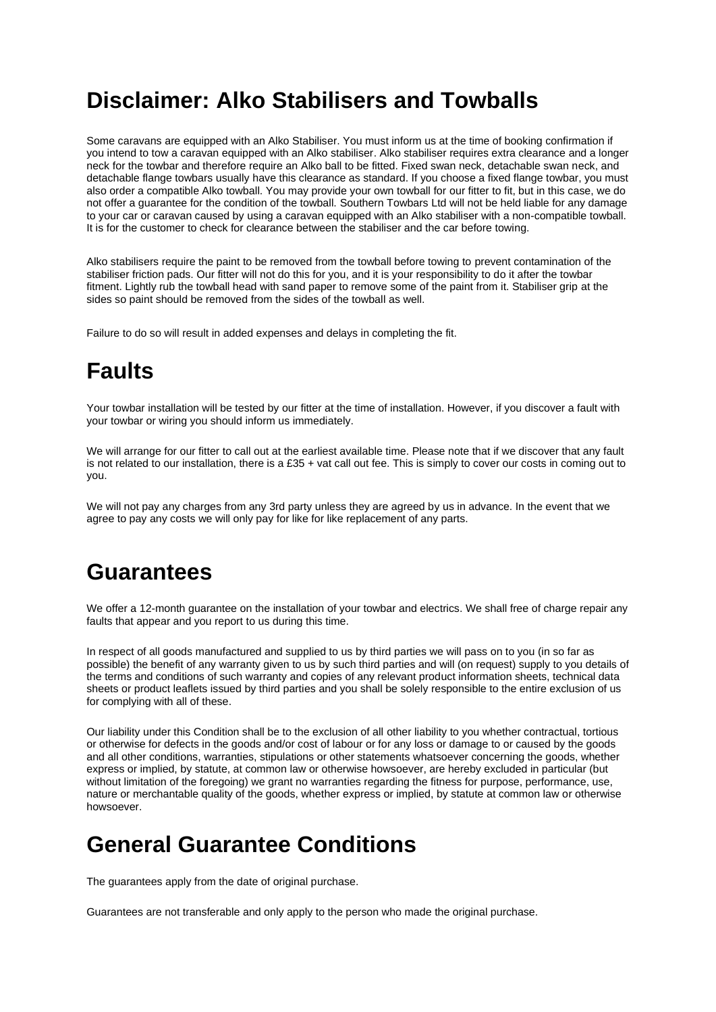#### **Disclaimer: Alko Stabilisers and Towballs**

Some caravans are equipped with an Alko Stabiliser. You must inform us at the time of booking confirmation if you intend to tow a caravan equipped with an Alko stabiliser. Alko stabiliser requires extra clearance and a longer neck for the towbar and therefore require an Alko ball to be fitted. Fixed swan neck, detachable swan neck, and detachable flange towbars usually have this clearance as standard. If you choose a fixed flange towbar, you must also order a compatible Alko towball. You may provide your own towball for our fitter to fit, but in this case, we do not offer a guarantee for the condition of the towball. Southern Towbars Ltd will not be held liable for any damage to your car or caravan caused by using a caravan equipped with an Alko stabiliser with a non-compatible towball. It is for the customer to check for clearance between the stabiliser and the car before towing.

Alko stabilisers require the paint to be removed from the towball before towing to prevent contamination of the stabiliser friction pads. Our fitter will not do this for you, and it is your responsibility to do it after the towbar fitment. Lightly rub the towball head with sand paper to remove some of the paint from it. Stabiliser grip at the sides so paint should be removed from the sides of the towball as well.

Failure to do so will result in added expenses and delays in completing the fit.

## **Faults**

Your towbar installation will be tested by our fitter at the time of installation. However, if you discover a fault with your towbar or wiring you should inform us immediately.

We will arrange for our fitter to call out at the earliest available time. Please note that if we discover that any fault is not related to our installation, there is a £35 + vat call out fee. This is simply to cover our costs in coming out to you.

We will not pay any charges from any 3rd party unless they are agreed by us in advance. In the event that we agree to pay any costs we will only pay for like for like replacement of any parts.

#### **Guarantees**

We offer a 12-month guarantee on the installation of your towbar and electrics. We shall free of charge repair any faults that appear and you report to us during this time.

In respect of all goods manufactured and supplied to us by third parties we will pass on to you (in so far as possible) the benefit of any warranty given to us by such third parties and will (on request) supply to you details of the terms and conditions of such warranty and copies of any relevant product information sheets, technical data sheets or product leaflets issued by third parties and you shall be solely responsible to the entire exclusion of us for complying with all of these.

Our liability under this Condition shall be to the exclusion of all other liability to you whether contractual, tortious or otherwise for defects in the goods and/or cost of labour or for any loss or damage to or caused by the goods and all other conditions, warranties, stipulations or other statements whatsoever concerning the goods, whether express or implied, by statute, at common law or otherwise howsoever, are hereby excluded in particular (but without limitation of the foregoing) we grant no warranties regarding the fitness for purpose, performance, use, nature or merchantable quality of the goods, whether express or implied, by statute at common law or otherwise howsoever.

#### **General Guarantee Conditions**

The guarantees apply from the date of original purchase.

Guarantees are not transferable and only apply to the person who made the original purchase.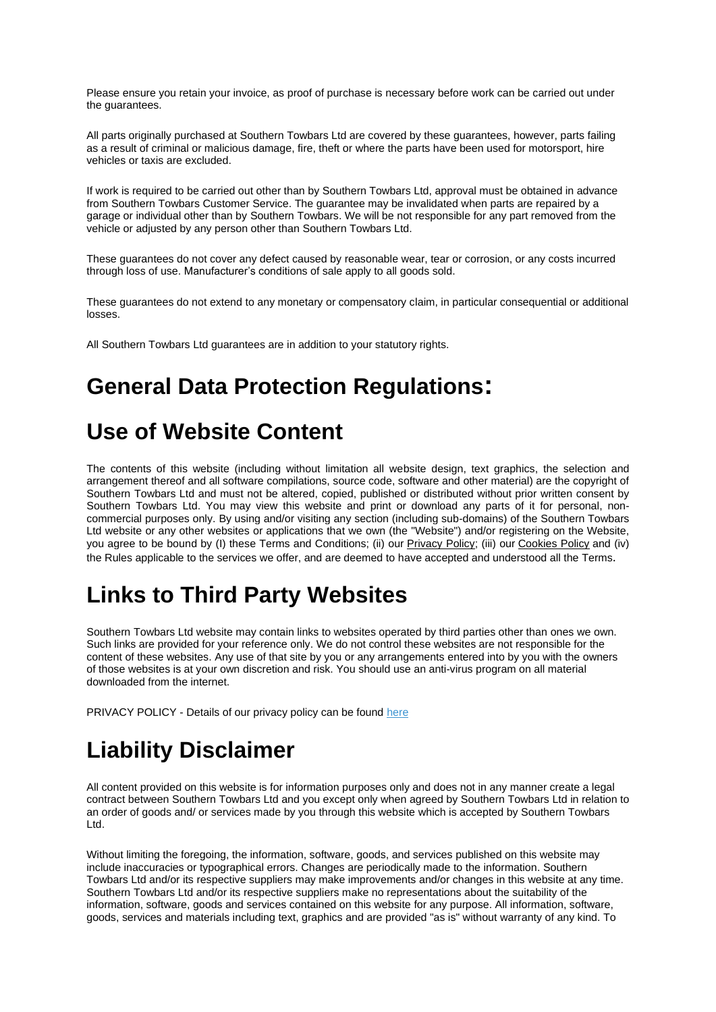Please ensure you retain your invoice, as proof of purchase is necessary before work can be carried out under the guarantees.

All parts originally purchased at Southern Towbars Ltd are covered by these guarantees, however, parts failing as a result of criminal or malicious damage, fire, theft or where the parts have been used for motorsport, hire vehicles or taxis are excluded.

If work is required to be carried out other than by Southern Towbars Ltd, approval must be obtained in advance from Southern Towbars Customer Service. The guarantee may be invalidated when parts are repaired by a garage or individual other than by Southern Towbars. We will be not responsible for any part removed from the vehicle or adjusted by any person other than Southern Towbars Ltd.

These guarantees do not cover any defect caused by reasonable wear, tear or corrosion, or any costs incurred through loss of use. Manufacturer's conditions of sale apply to all goods sold.

These guarantees do not extend to any monetary or compensatory claim, in particular consequential or additional losses.

All Southern Towbars Ltd guarantees are in addition to your statutory rights.

#### **General Data Protection Regulations:**

#### **Use of Website Content**

The contents of this website (including without limitation all website design, text graphics, the selection and arrangement thereof and all software compilations, source code, software and other material) are the copyright of Southern Towbars Ltd and must not be altered, copied, published or distributed without prior written consent by Southern Towbars Ltd. You may view this website and print or download any parts of it for personal, noncommercial purposes only. By using and/or visiting any section (including sub-domains) of the Southern Towbars Ltd website or any other websites or applications that we own (the "Website") and/or registering on the Website, you agree to be bound by (I) these Terms and Conditions; (ii) our [Privacy Policy;](https://www.servicingstop.co.uk/privacy_policy.html) (iii) our [Cookies Policy](https://www.servicingstop.co.uk/cookie_policy.html) and (iv) the Rules applicable to the services we offer, and are deemed to have accepted and understood all the Terms.

#### **Links to Third Party Websites**

Southern Towbars Ltd website may contain links to websites operated by third parties other than ones we own. Such links are provided for your reference only. We do not control these websites are not responsible for the content of these websites. Any use of that site by you or any arrangements entered into by you with the owners of those websites is at your own discretion and risk. You should use an anti-virus program on all material downloaded from the internet.

PRIVACY POLICY - Details of our privacy policy can be found [here](https://www.servicingstop.co.uk/privacy_policy.html)

# **Liability Disclaimer**

All content provided on this website is for information purposes only and does not in any manner create a legal contract between Southern Towbars Ltd and you except only when agreed by Southern Towbars Ltd in relation to an order of goods and/ or services made by you through this website which is accepted by Southern Towbars Ltd.

Without limiting the foregoing, the information, software, goods, and services published on this website may include inaccuracies or typographical errors. Changes are periodically made to the information. Southern Towbars Ltd and/or its respective suppliers may make improvements and/or changes in this website at any time. Southern Towbars Ltd and/or its respective suppliers make no representations about the suitability of the information, software, goods and services contained on this website for any purpose. All information, software, goods, services and materials including text, graphics and are provided "as is" without warranty of any kind. To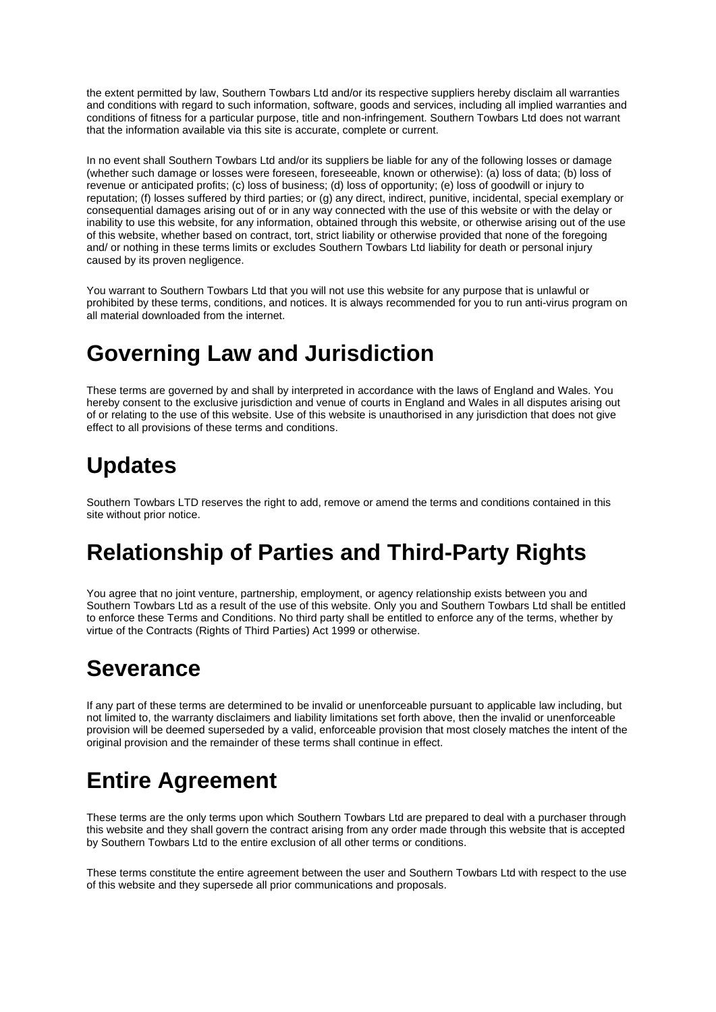the extent permitted by law, Southern Towbars Ltd and/or its respective suppliers hereby disclaim all warranties and conditions with regard to such information, software, goods and services, including all implied warranties and conditions of fitness for a particular purpose, title and non-infringement. Southern Towbars Ltd does not warrant that the information available via this site is accurate, complete or current.

In no event shall Southern Towbars Ltd and/or its suppliers be liable for any of the following losses or damage (whether such damage or losses were foreseen, foreseeable, known or otherwise): (a) loss of data; (b) loss of revenue or anticipated profits; (c) loss of business; (d) loss of opportunity; (e) loss of goodwill or injury to reputation; (f) losses suffered by third parties; or (g) any direct, indirect, punitive, incidental, special exemplary or consequential damages arising out of or in any way connected with the use of this website or with the delay or inability to use this website, for any information, obtained through this website, or otherwise arising out of the use of this website, whether based on contract, tort, strict liability or otherwise provided that none of the foregoing and/ or nothing in these terms limits or excludes Southern Towbars Ltd liability for death or personal injury caused by its proven negligence.

You warrant to Southern Towbars Ltd that you will not use this website for any purpose that is unlawful or prohibited by these terms, conditions, and notices. It is always recommended for you to run anti-virus program on all material downloaded from the internet.

#### **Governing Law and Jurisdiction**

These terms are governed by and shall by interpreted in accordance with the laws of England and Wales. You hereby consent to the exclusive jurisdiction and venue of courts in England and Wales in all disputes arising out of or relating to the use of this website. Use of this website is unauthorised in any jurisdiction that does not give effect to all provisions of these terms and conditions.

#### **Updates**

Southern Towbars LTD reserves the right to add, remove or amend the terms and conditions contained in this site without prior notice.

# **Relationship of Parties and Third-Party Rights**

You agree that no joint venture, partnership, employment, or agency relationship exists between you and Southern Towbars Ltd as a result of the use of this website. Only you and Southern Towbars Ltd shall be entitled to enforce these Terms and Conditions. No third party shall be entitled to enforce any of the terms, whether by virtue of the Contracts (Rights of Third Parties) Act 1999 or otherwise.

# **Severance**

If any part of these terms are determined to be invalid or unenforceable pursuant to applicable law including, but not limited to, the warranty disclaimers and liability limitations set forth above, then the invalid or unenforceable provision will be deemed superseded by a valid, enforceable provision that most closely matches the intent of the original provision and the remainder of these terms shall continue in effect.

# **Entire Agreement**

These terms are the only terms upon which Southern Towbars Ltd are prepared to deal with a purchaser through this website and they shall govern the contract arising from any order made through this website that is accepted by Southern Towbars Ltd to the entire exclusion of all other terms or conditions.

These terms constitute the entire agreement between the user and Southern Towbars Ltd with respect to the use of this website and they supersede all prior communications and proposals.